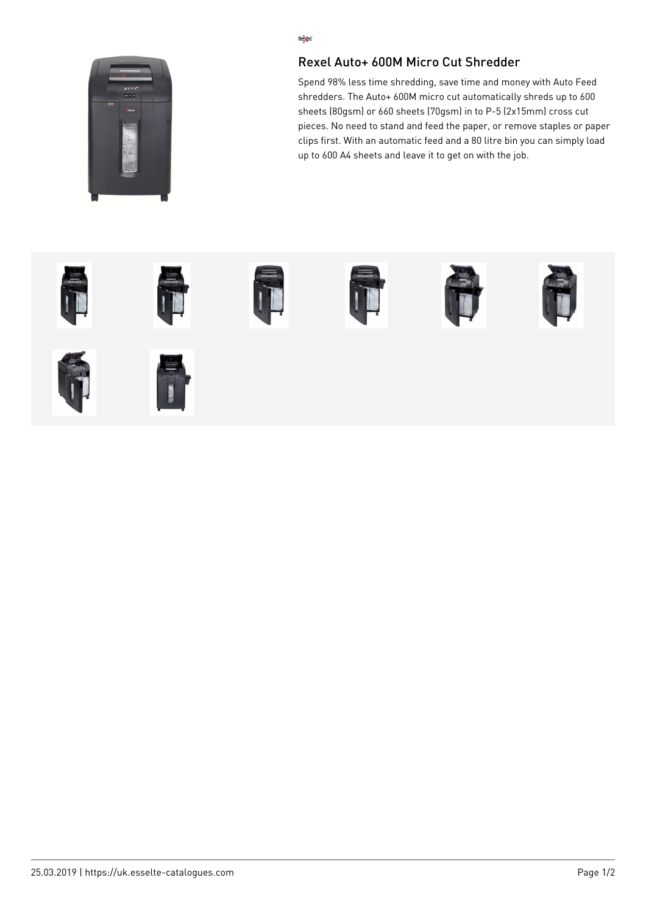

## Re<sub>kel</sub>

## Rexel Auto+ 600M Micro Cut Shredder

Spend 98% less time shredding, save time and money with Auto Feed shredders. The Auto+ 600M micro cut automatically shreds up to 600 sheets (80gsm) or 660 sheets (70gsm) in to P-5 (2x15mm) cross cut pieces. No need to stand and feed the paper, or remove staples or paper clips first. With an automatic feed and a 80 litre bin you can simply load up to 600 A4 sheets and leave it to get on with the job.